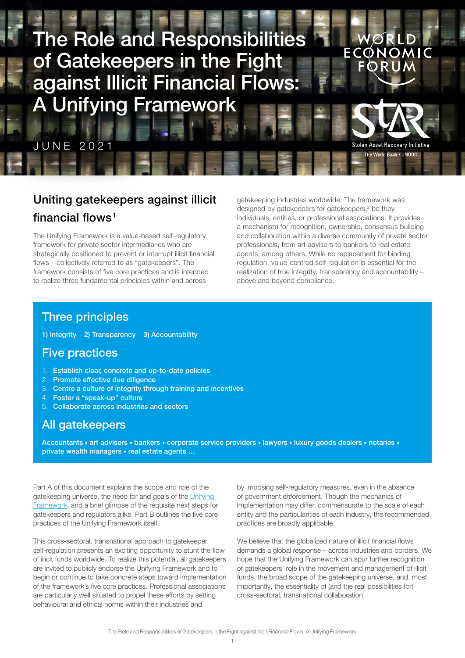<span id="page-0-0"></span>

### Uniting gatekeepers against illicit financial flows<sup>[1](#page-5-0)</sup>

The Unifying Framework is a value-based self-regulatory framework for private sector intermediaries who are strategically positioned to prevent or interrupt illicit financial flows – collectively referred to as "gatekeepers". The framework consists of five core practices and is intended to realize three fundamental principles within and across

gatekeeping industries worldwide. The framework was designed by gatekeepers for gatekeepers,<sup>2</sup> be they individuals, entities, or professional associations. It provides a mechanism for recognition, ownership, consensus building and collaboration within a diverse community of private sector professionals, from art advisers to bankers to real estate agents, among others. While no replacement for binding regulation, value-centred self-regulation is essential for the realization of true integrity, transparency and accountability – above and beyond compliance.

#### Three principles

1) Integrity 2) Transparency 3) Accountability

#### Five practices

- 1. Establish clear, concrete and up-to-date policies
- 2. Promote effective due diligence
- 3. Centre a culture of integrity through training and incentives
- 4. Foster a "speak-up" culture
- 5. Collaborate across industries and sectors

#### All gatekeepers

Accountants • art advisers • bankers • corporate service providers • lawyers • luxury goods dealers • notaries • private wealth managers • real estate agents …

Part A of this document explains the scope and role of the gatekeeping universe, the need for and goals of the Unifying [Framework](#page-3-0), and a brief glimpse of the requisite next steps for gatekeepers and regulators alike. Part B outlines the five core practices of the Unifying Framework itself.

This cross‑sectoral, transnational approach to gatekeeper self-regulation presents an exciting opportunity to stunt the flow of illicit funds worldwide. To realize this potential, all gatekeepers are invited to publicly endorse the Unifying Framework and to begin or continue to take concrete steps toward implementation of the framework's five core practices. Professional associations are particularly well situated to propel these efforts by setting behavioural and ethical norms within their industries and

by imposing self-regulatory measures, even in the absence of government enforcement. Though the mechanics of implementation may differ, commensurate to the scale of each entity and the particularities of each industry, the recommended practices are broadly applicable.

We believe that the globalized nature of illicit financial flows demands a global response – across industries and borders. We hope that the Unifying Framework can spur further recognition of gatekeepers' role in the movement and management of illicit funds, the broad scope of the gatekeeping universe, and, most importantly, the essentiality of (and the real possibilities for) cross‑sectoral, transnational collaboration.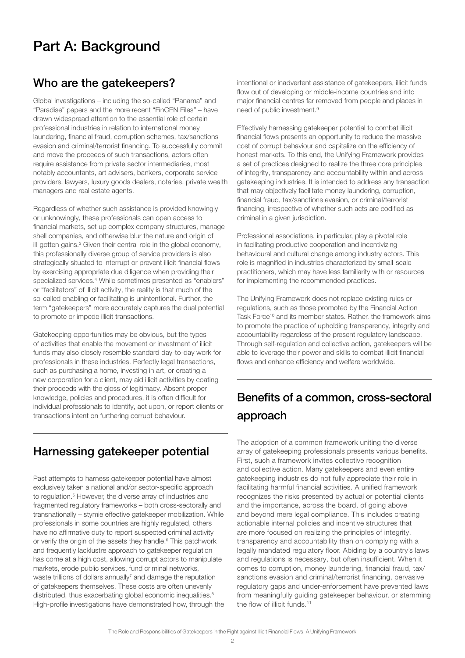## <span id="page-1-0"></span>Part A: Background

#### Who are the gatekeepers?

Global investigations – including the so‑called "Panama" and "Paradise" papers and the more recent "FinCEN Files" – have drawn widespread attention to the essential role of certain professional industries in relation to international money laundering, financial fraud, corruption schemes, tax/sanctions evasion and criminal/terrorist financing. To successfully commit and move the proceeds of such transactions, actors often require assistance from private sector intermediaries, most notably accountants, art advisers, bankers, corporate service providers, lawyers, luxury goods dealers, notaries, private wealth managers and real estate agents.

Regardless of whether such assistance is provided knowingly or unknowingly, these professionals can open access to financial markets, set up complex company structures, manage shell companies, and otherwise blur the nature and origin of ill-gotten gains.<sup>3</sup> Given their central role in the global economy, this professionally diverse group of service providers is also strategically situated to interrupt or prevent illicit financial flows by exercising appropriate due diligence when providing their specialized services.<sup>4</sup> While sometimes presented as "enablers" or "facilitators" of illicit activity, the reality is that much of the so-called enabling or facilitating is unintentional. Further, the term "gatekeepers" more accurately captures the dual potential to promote or impede illicit transactions.

Gatekeeping opportunities may be obvious, but the types of activities that enable the movement or investment of illicit funds may also closely resemble standard day-to-day work for professionals in these industries. Perfectly legal transactions, such as purchasing a home, investing in art, or creating a new corporation for a client, may aid illicit activities by coating their proceeds with the gloss of legitimacy. Absent proper knowledge, policies and procedures, it is often difficult for individual professionals to identify, act upon, or report clients or transactions intent on furthering corrupt behaviour.

### Harnessing gatekeeper potential

Past attempts to harness gatekeeper potential have almost exclusively taken a national and/or sector-specific approach to regulation.<sup>[5](#page-5-0)</sup> However, the diverse array of industries and fragmented regulatory frameworks – both cross‑sectorally and transnationally – stymie effective gatekeeper mobilization. While professionals in some countries are highly regulated, others have no affirmative duty to report suspected criminal activity or verify the origin of the assets they handle.<sup>[6](#page-5-0)</sup> This patchwork and frequently lacklustre approach to gatekeeper regulation has come at a high cost, allowing corrupt actors to manipulate markets, erode public services, fund criminal networks, waste trillions of dollars annually $^7$  $^7$  and damage the reputation of gatekeepers themselves. These costs are often unevenly distributed, thus exacerbating global economic inequalities.<sup>8</sup> High-profile investigations have demonstrated how, through the intentional or inadvertent assistance of gatekeepers, illicit funds flow out of developing or middle-income countries and into major financial centres far removed from people and places in need of public investment[.9](#page-5-0)

Effectively harnessing gatekeeper potential to combat illicit financial flows presents an opportunity to reduce the massive cost of corrupt behaviour and capitalize on the efficiency of honest markets. To this end, the Unifying Framework provides a set of practices designed to realize the three core principles of integrity, transparency and accountability within and across gatekeeping industries. It is intended to address any transaction that may objectively facilitate money laundering, corruption, financial fraud, tax/sanctions evasion, or criminal/terrorist financing, irrespective of whether such acts are codified as criminal in a given jurisdiction.

Professional associations, in particular, play a pivotal role in facilitating productive cooperation and incentivizing behavioural and cultural change among industry actors. This role is magnified in industries characterized by small‑scale practitioners, which may have less familiarity with or resources for implementing the recommended practices.

The Unifying Framework does not replace existing rules or regulations, such as those promoted by the Financial Action Task Force<sup>10</sup> and its member states. Rather, the framework aims to promote the practice of upholding transparency, integrity and accountability regardless of the present regulatory landscape. Through self-regulation and collective action, gatekeepers will be able to leverage their power and skills to combat illicit financial flows and enhance efficiency and welfare worldwide.

# Benefits of a common, cross-sectoral approach

The adoption of a common framework uniting the diverse array of gatekeeping professionals presents various benefits. First, such a framework invites collective recognition and collective action. Many gatekeepers and even entire gatekeeping industries do not fully appreciate their role in facilitating harmful financial activities. A unified framework recognizes the risks presented by actual or potential clients and the importance, across the board, of going above and beyond mere legal compliance. This includes creating actionable internal policies and incentive structures that are more focused on realizing the principles of integrity, transparency and accountability than on complying with a legally mandated regulatory floor. Abiding by a country's laws and regulations is necessary, but often insufficient. When it comes to corruption, money laundering, financial fraud, tax/ sanctions evasion and criminal/terrorist financing, pervasive regulatory gaps and under‑enforcement have prevented laws from meaningfully guiding gatekeeper behaviour, or stemming the flow of illicit funds.<sup>11</sup>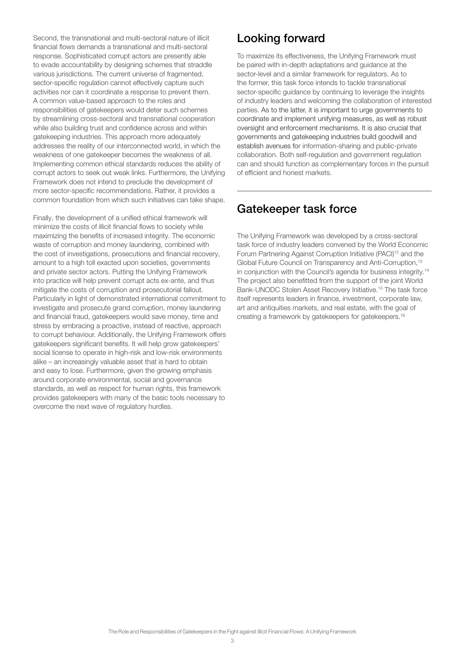<span id="page-2-0"></span>Second, the transnational and multi-sectoral nature of illicit financial flows demands a transnational and multi-sectoral response. Sophisticated corrupt actors are presently able to evade accountability by designing schemes that straddle various jurisdictions. The current universe of fragmented, sector-specific requlation cannot effectively capture such activities nor can it coordinate a response to prevent them. A common value‑based approach to the roles and responsibilities of gatekeepers would deter such schemes by streamlining cross‑sectoral and transnational cooperation while also building trust and confidence across and within gatekeeping industries. This approach more adequately addresses the reality of our interconnected world, in which the weakness of one gatekeeper becomes the weakness of all. Implementing common ethical standards reduces the ability of corrupt actors to seek out weak links. Furthermore, the Unifying Framework does not intend to preclude the development of more sector‑specific recommendations. Rather, it provides a common foundation from which such initiatives can take shape.

Finally, the development of a unified ethical framework will minimize the costs of illicit financial flows to society while maximizing the benefits of increased integrity. The economic waste of corruption and money laundering, combined with the cost of investigations, prosecutions and financial recovery, amount to a high toll exacted upon societies, governments and private sector actors. Putting the Unifying Framework into practice will help prevent corrupt acts ex-ante, and thus mitigate the costs of corruption and prosecutorial fallout. Particularly in light of demonstrated international commitment to investigate and prosecute grand corruption, money laundering and financial fraud, gatekeepers would save money, time and stress by embracing a proactive, instead of reactive, approach to corrupt behaviour. Additionally, the Unifying Framework offers gatekeepers significant benefits. It will help grow gatekeepers' social license to operate in high-risk and low-risk environments alike – an increasingly valuable asset that is hard to obtain and easy to lose. Furthermore, given the growing emphasis around corporate environmental, social and governance standards, as well as respect for human rights, this framework provides gatekeepers with many of the basic tools necessary to overcome the next wave of regulatory hurdles.

### Looking forward

To maximize its effectiveness, the Unifying Framework must be paired with in‑depth adaptations and guidance at the sector-level and a similar framework for regulators. As to the former, this task force intends to tackle transnational sector-specific quidance by continuing to leverage the insights of industry leaders and welcoming the collaboration of interested parties. As to the latter, it is important to urge governments to coordinate and implement unifying measures, as well as robust oversight and enforcement mechanisms. It is also crucial that governments and gatekeeping industries build goodwill and establish avenues for information-sharing and public-private collaboration. Both self-regulation and government regulation can and should function as complementary forces in the pursuit of efficient and honest markets.

#### Gatekeeper task force

The Unifying Framework was developed by a cross-sectoral task force of industry leaders convened by the World Economic Forum Partnering Against Corruption Initiative (PACI)<sup>12</sup> and the Global Future Council on Transparency and Anti-Corruption,<sup>13</sup> in conjunction with the Council's agenda for business integrity.<sup>[14](#page-5-0)</sup> The project also benefitted from the support of the joint World Bank‑UNODC Stolen Asset Recovery Initiative[.15](#page-5-0) The task force itself represents leaders in finance, investment, corporate law, art and antiquities markets, and real estate, with the goal of creating a framework by gatekeepers for gatekeepers.[16](#page-6-0)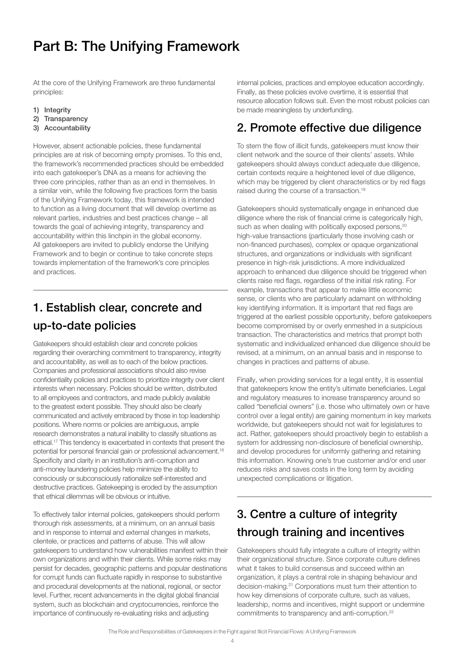# <span id="page-3-0"></span>Part B: The Unifying Framework

At the core of the Unifying Framework are three fundamental principles:

- 1) Integrity
- 2) Transparency
- 3) Accountability

However, absent actionable policies, these fundamental principles are at risk of becoming empty promises. To this end, the framework's recommended practices should be embedded into each gatekeeper's DNA as a means for achieving the three core principles, rather than as an end in themselves. In a similar vein, while the following five practices form the basis of the Unifying Framework today, this framework is intended to function as a living document that will develop overtime as relevant parties, industries and best practices change – all towards the goal of achieving integrity, transparency and accountability within this linchpin in the global economy. All gatekeepers are invited to publicly endorse the Unifying Framework and to begin or continue to take concrete steps towards implementation of the framework's core principles and practices.

## 1. Establish clear, concrete and up-to-date policies

Gatekeepers should establish clear and concrete policies regarding their overarching commitment to transparency, integrity and accountability, as well as to each of the below practices. Companies and professional associations should also revise confidentiality policies and practices to prioritize integrity over client interests when necessary. Policies should be written, distributed to all employees and contractors, and made publicly available to the greatest extent possible. They should also be clearly communicated and actively embraced by those in top leadership positions. Where norms or policies are ambiguous, ample research demonstrates a natural inability to classify situations as ethical[.17](#page-6-0) This tendency is exacerbated in contexts that present the potential for personal financial gain or professional advancement[.18](#page-6-0) Specificity and clarity in an institution's anti-corruption and anti-money laundering policies help minimize the ability to consciously or subconsciously rationalize self‑interested and destructive practices. Gatekeeping is eroded by the assumption that ethical dilemmas will be obvious or intuitive.

To effectively tailor internal policies, gatekeepers should perform thorough risk assessments, at a minimum, on an annual basis and in response to internal and external changes in markets, clientele, or practices and patterns of abuse. This will allow gatekeepers to understand how vulnerabilities manifest within their own organizations and within their clients. While some risks may persist for decades, geographic patterns and popular destinations for corrupt funds can fluctuate rapidly in response to substantive and procedural developments at the national, regional, or sector level. Further, recent advancements in the digital global financial system, such as blockchain and cryptocurrencies, reinforce the importance of continuously re‑evaluating risks and adjusting

internal policies, practices and employee education accordingly. Finally, as these policies evolve overtime, it is essential that resource allocation follows suit. Even the most robust policies can be made meaningless by underfunding.

### 2. Promote effective due diligence

To stem the flow of illicit funds, gatekeepers must know their client network and the source of their clients' assets. While gatekeepers should always conduct adequate due diligence, certain contexts require a heightened level of due diligence, which may be triggered by client characteristics or by red flags raised during the course of a transaction.<sup>19</sup>

Gatekeepers should systematically engage in enhanced due diligence where the risk of financial crime is categorically high, such as when dealing with politically exposed persons,<sup>20</sup> high-value transactions (particularly those involving cash or non‑financed purchases), complex or opaque organizational structures, and organizations or individuals with significant presence in high-risk jurisdictions. A more individualized approach to enhanced due diligence should be triggered when clients raise red flags, regardless of the initial risk rating. For example, transactions that appear to make little economic sense, or clients who are particularly adamant on withholding key identifying information. It is important that red flags are triggered at the earliest possible opportunity, before gatekeepers become compromised by or overly enmeshed in a suspicious transaction. The characteristics and metrics that prompt both systematic and individualized enhanced due diligence should be revised, at a minimum, on an annual basis and in response to changes in practices and patterns of abuse.

Finally, when providing services for a legal entity, it is essential that gatekeepers know the entity's ultimate beneficiaries. Legal and regulatory measures to increase transparency around so called "beneficial owners" (i.e. those who ultimately own or have control over a legal entity) are gaining momentum in key markets worldwide, but gatekeepers should not wait for legislatures to act. Rather, gatekeepers should proactively begin to establish a system for addressing non-disclosure of beneficial ownership, and develop procedures for uniformly gathering and retaining this information. Knowing one's true customer and/or end user reduces risks and saves costs in the long term by avoiding unexpected complications or litigation.

## 3. Centre a culture of integrity through training and incentives

Gatekeepers should fully integrate a culture of integrity within their organizational structure. Since corporate culture defines what it takes to build consensus and succeed within an organization, it plays a central role in shaping behaviour and decision-making.<sup>[21](#page-6-0)</sup> Corporations must turn their attention to how key dimensions of corporate culture, such as values, leadership, norms and incentives, might support or undermine commitments to transparency and anti-corruption.<sup>22</sup>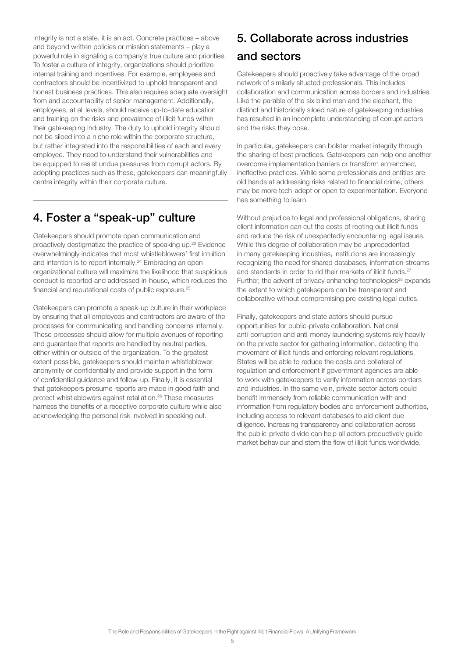<span id="page-4-0"></span>Integrity is not a state, it is an act. Concrete practices – above and beyond written policies or mission statements – play a powerful role in signaling a company's true culture and priorities. To foster a culture of integrity, organizations should prioritize internal training and incentives. For example, employees and contractors should be incentivized to uphold transparent and honest business practices. This also requires adequate oversight from and accountability of senior management. Additionally, employees, at all levels, should receive up-to-date education and training on the risks and prevalence of illicit funds within their gatekeeping industry. The duty to uphold integrity should not be siloed into a niche role within the corporate structure, but rather integrated into the responsibilities of each and every employee. They need to understand their vulnerabilities and be equipped to resist undue pressures from corrupt actors. By adopting practices such as these, gatekeepers can meaningfully centre integrity within their corporate culture.

#### 4. Foster a "speak-up" culture

Gatekeepers should promote open communication and proactively destigmatize the practice of speaking up[.23](#page-6-0) Evidence overwhelmingly indicates that most whistleblowers' first intuition and intention is to report internally.<sup>[24](#page-6-0)</sup> Embracing an open organizational culture will maximize the likelihood that suspicious conduct is reported and addressed in‑house, which reduces the financial and reputational costs of public exposure[.25](#page-6-0) 

Gatekeepers can promote a speak‑up culture in their workplace by ensuring that all employees and contractors are aware of the processes for communicating and handling concerns internally. These processes should allow for multiple avenues of reporting and guarantee that reports are handled by neutral parties, either within or outside of the organization. To the greatest extent possible, gatekeepers should maintain whistleblower anonymity or confidentiality and provide support in the form of confidential guidance and follow‑up. Finally, it is essential that gatekeepers presume reports are made in good faith and protect whistleblowers against retaliation.[26](#page-6-0) These measures harness the benefits of a receptive corporate culture while also acknowledging the personal risk involved in speaking out.

### 5. Collaborate across industries and sectors

Gatekeepers should proactively take advantage of the broad network of similarly situated professionals. This includes collaboration and communication across borders and industries. Like the parable of the six blind men and the elephant, the distinct and historically siloed nature of gatekeeping industries has resulted in an incomplete understanding of corrupt actors and the risks they pose.

In particular, gatekeepers can bolster market integrity through the sharing of best practices. Gatekeepers can help one another overcome implementation barriers or transform entrenched, ineffective practices. While some professionals and entities are old hands at addressing risks related to financial crime, others may be more tech‑adept or open to experimentation. Everyone has something to learn.

Without prejudice to legal and professional obligations, sharing client information can cut the costs of rooting out illicit funds and reduce the risk of unexpectedly encountering legal issues. While this degree of collaboration may be unprecedented in many gatekeeping industries, institutions are increasingly recognizing the need for shared databases, information streams and standards in order to rid their markets of illicit funds.<sup>[27](#page-6-0)</sup> Further, the advent of privacy enhancing technologies<sup>28</sup> expands the extent to which gatekeepers can be transparent and collaborative without compromising pre‑existing legal duties.

Finally, gatekeepers and state actors should pursue opportunities for public‑private collaboration. National anti-corruption and anti-money laundering systems rely heavily on the private sector for gathering information, detecting the movement of illicit funds and enforcing relevant regulations. States will be able to reduce the costs and collateral of regulation and enforcement if government agencies are able to work with gatekeepers to verify information across borders and industries. In the same vein, private sector actors could benefit immensely from reliable communication with and information from regulatory bodies and enforcement authorities, including access to relevant databases to aid client due diligence. Increasing transparency and collaboration across the public‑private divide can help all actors productively guide market behaviour and stem the flow of illicit funds worldwide.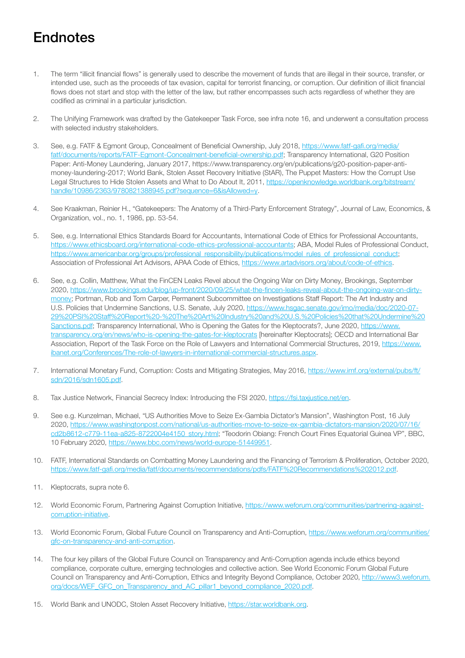# <span id="page-5-0"></span>**Endnotes**

- [1.](#page-0-0) The term "illicit financial flows" is generally used to describe the movement of funds that are illegal in their source, transfer, or intended use, such as the proceeds of tax evasion, capital for terrorist financing, or corruption. Our definition of illicit financial flows does not start and stop with the letter of the law, but rather encompasses such acts regardless of whether they are codified as criminal in a particular jurisdiction.
- [2.](#page-0-0) The Unifying Framework was drafted by the Gatekeeper Task Force, see infra note 16, and underwent a consultation process with selected industry stakeholders.
- [3.](#page-1-0) See, e.g. FATF & Egmont Group, Concealment of Beneficial Ownership, July 2018, [https://www.fatf-gafi.org/media/](https://www.fatf-gafi.org/media/fatf/documents/reports/FATF-Egmont-Concealment-beneficial-ownership.pdf) [fatf/documents/reports/FATF-Egmont-Concealment-beneficial-ownership.pdf;](https://www.fatf-gafi.org/media/fatf/documents/reports/FATF-Egmont-Concealment-beneficial-ownership.pdf) Transparency International, G20 Position Paper: Anti-Money Laundering, January 2017, https://www.transparency.org/en/publications/g20-position-paper-antimoney-laundering-2017; World Bank, Stolen Asset Recovery Initiative (StAR), The Puppet Masters: How the Corrupt Use Legal Structures to Hide Stolen Assets and What to Do About It, 2011, [https://openknowledge.worldbank.org/bitstream/](https://openknowledge.worldbank.org/bitstream/handle/10986/2363/9780821388945.pdf?sequence=6&isAllowed=y) [handle/10986/2363/9780821388945.pdf?sequence=6&isAllowed=y.](https://openknowledge.worldbank.org/bitstream/handle/10986/2363/9780821388945.pdf?sequence=6&isAllowed=y)
- [4.](#page-1-0) See Kraakman, Reinier H., "Gatekeepers: The Anatomy of a Third-Party Enforcement Strategy", Journal of Law, Economics, & Organization, vol., no. 1, 1986, pp. 53-54.
- [5.](#page-1-0) See, e.g. International Ethics Standards Board for Accountants, International Code of Ethics for Professional Accountants, [https://www.ethicsboard.org/international-code-ethics-professional-accountants;](https://www.ethicsboard.org/international-code-ethics-professional-accountants) ABA, Model Rules of Professional Conduct, [https://www.americanbar.org/groups/professional\\_responsibility/publications/model\\_rules\\_of\\_professional\\_conduct;](https://www.americanbar.org/groups/professional_responsibility/publications/model_rules_of_professional_conduct) Association of Professional Art Advisors, APAA Code of Ethics, <https://www.artadvisors.org/about/code-of-ethics>.
- [6.](#page-1-0) See, e.g. Collin, Matthew, What the FinCEN Leaks Revel about the Ongoing War on Dirty Money, Brookings, September 2020, [https://www.brookings.edu/blog/up-front/2020/09/25/what-the-fincen-leaks-reveal-about-the-ongoing-war-on-dirty](https://www.brookings.edu/blog/up-front/2020/09/25/what-the-fincen-leaks-reveal-about-the-ongoing-war-on-dirty-money)[money](https://www.brookings.edu/blog/up-front/2020/09/25/what-the-fincen-leaks-reveal-about-the-ongoing-war-on-dirty-money); Portman, Rob and Tom Carper, Permanent Subcommittee on Investigations Staff Report: The Art Industry and U.S. Policies that Undermine Sanctions, U.S. Senate, July 2020, [https://www.hsgac.senate.gov/imo/media/doc/2020-07-](https://www.hsgac.senate.gov/imo/media/doc/2020-07-29%20PSI%20Staff%20Report%20-%20The%20Art%20Industry%20and%20U.S.%20Policies%20that%20Undermine%20Sanctions.pdf)[29%20PSI%20Staff%20Report%20-%20The%20Art%20Industry%20and%20U.S.%20Policies%20that%20Undermine%20](https://www.hsgac.senate.gov/imo/media/doc/2020-07-29%20PSI%20Staff%20Report%20-%20The%20Art%20Industry%20and%20U.S.%20Policies%20that%20Undermine%20Sanctions.pdf) [Sanctions.pdf;](https://www.hsgac.senate.gov/imo/media/doc/2020-07-29%20PSI%20Staff%20Report%20-%20The%20Art%20Industry%20and%20U.S.%20Policies%20that%20Undermine%20Sanctions.pdf) Transparency International, Who is Opening the Gates for the Kleptocrats?, June 2020, [https://www.](https://www.transparency.org/en/news/who-is-opening-the-gates-for-kleptocrats) [transparency.org/en/news/who-is-opening-the-gates-for-kleptocrats](https://www.transparency.org/en/news/who-is-opening-the-gates-for-kleptocrats) [hereinafter Kleptocrats]; OECD and International Bar Association, Report of the Task Force on the Role of Lawyers and International Commercial Structures, 2019, [https://www.](https://www.ibanet.org/Conferences/The-role-of-lawyers-in-international-commercial-structures.aspx) [ibanet.org/Conferences/The-role-of-lawyers-in-international-commercial-structures.aspx.](https://www.ibanet.org/Conferences/The-role-of-lawyers-in-international-commercial-structures.aspx)
- [7.](#page-1-0) International Monetary Fund, Corruption: Costs and Mitigating Strategies, May 2016, [https://www.imf.org/external/pubs/ft/](https://www.imf.org/external/pubs/ft/sdn/2016/sdn1605.pdf) [sdn/2016/sdn1605.pdf](https://www.imf.org/external/pubs/ft/sdn/2016/sdn1605.pdf).
- [8.](#page-1-0) Tax Justice Network, Financial Secrecy Index: Introducing the FSI 2020, [https://fsi.taxjustice.net/en.](https://fsi.taxjustice.net/en)
- [9.](#page-1-0) See e.g. Kunzelman, Michael, "US Authorities Move to Seize Ex-Gambia Dictator's Mansion", Washington Post, 16 July 2020, [https://www.washingtonpost.com/national/us-authorities-move-to-seize-ex-gambia-dictators-mansion/2020/07/16/](https://www.washingtonpost.com/national/us-authorities-move-to-seize-ex-gambia-dictators-mansion/2020/07/16/cd2b8612-c779-11ea-a825-8722004e4150_story.html) [cd2b8612-c779-11ea-a825-8722004e4150\\_story.html;](https://www.washingtonpost.com/national/us-authorities-move-to-seize-ex-gambia-dictators-mansion/2020/07/16/cd2b8612-c779-11ea-a825-8722004e4150_story.html) "Teodorin Obiang: French Court Fines Equatorial Guinea VP", BBC, 10 February 2020, [https://www.bbc.com/news/world-europe-51449951.](https://www.bbc.com/news/world-europe-51449951)
- [10.](#page-1-0) FATF, International Standards on Combatting Money Laundering and the Financing of Terrorism & Proliferation, October 2020, <https://www.fatf-gafi.org/media/fatf/documents/recommendations/pdfs/FATF%20Recommendations%202012.pdf>.
- [11.](#page-1-0) Kleptocrats, supra note 6.
- [12.](#page-2-0) World Economic Forum, Partnering Against Corruption Initiative, [https://www.weforum.org/communities/partnering-against](https://www.weforum.org/communities/partnering-against-corruption-initiative)[corruption-initiative](https://www.weforum.org/communities/partnering-against-corruption-initiative).
- [13.](#page-2-0) World Economic Forum, Global Future Council on Transparency and Anti-Corruption, [https://www.weforum.org/communities/](https://www.weforum.org/communities/gfc-on-transparency-and-anti-corruption) [gfc-on-transparency-and-anti-corruption.](https://www.weforum.org/communities/gfc-on-transparency-and-anti-corruption)
- [14.](#page-2-0) The four key pillars of the Global Future Council on Transparency and Anti-Corruption agenda include ethics beyond compliance, corporate culture, emerging technologies and collective action. See World Economic Forum Global Future Council on Transparency and Anti-Corruption, Ethics and Integrity Beyond Compliance, October 2020, [http://www3.weforum.](http://www3.weforum.org/docs/WEF_GFC_on_Transparency_and_AC_pillar1_beyond_compliance_2020.pdf) [org/docs/WEF\\_GFC\\_on\\_Transparency\\_and\\_AC\\_pillar1\\_beyond\\_compliance\\_2020.pdf](http://www3.weforum.org/docs/WEF_GFC_on_Transparency_and_AC_pillar1_beyond_compliance_2020.pdf).
- [15.](#page-2-0) World Bank and UNODC, Stolen Asset Recovery Initiative,<https://star.worldbank.org>.